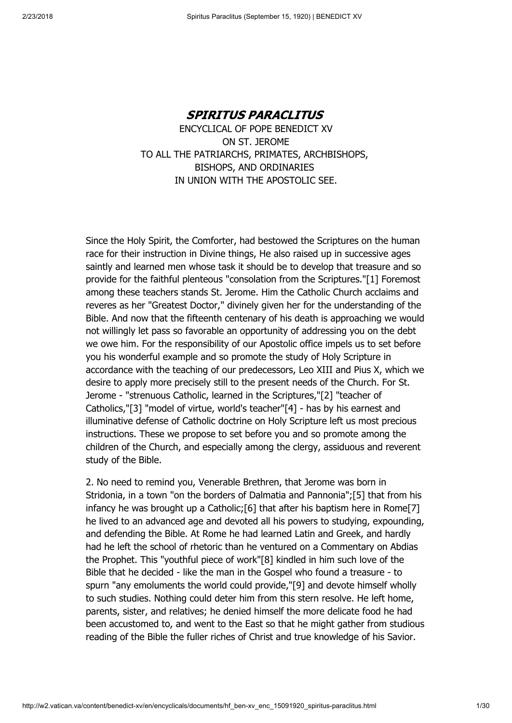## SPIRITUS PARACLITUS

ENCYCLICAL OF POPE BENEDICT XV ON ST. JEROME TO ALL THE PATRIARCHS, PRIMATES, ARCHBISHOPS, BISHOPS, AND ORDINARIES IN UNION WITH THE APOSTOLIC SEE.

Since the Holy Spirit, the Comforter, had bestowed the Scriptures on the human race for their instruction in Divine things, He also raised up in successive ages saintly and learned men whose task it should be to develop that treasure and so provide for the faithful plenteous "consolation from the Scriptures."[1] Foremost among these teachers stands St. Jerome. Him the Catholic Church acclaims and reveres as her "Greatest Doctor," divinely given her for the understanding of the Bible. And now that the fifteenth centenary of his death is approaching we would not willingly let pass so favorable an opportunity of addressing you on the debt we owe him. For the responsibility of our Apostolic office impels us to set before you his wonderful example and so promote the study of Holy Scripture in accordance with the teaching of our predecessors, Leo XIII and Pius X, which we desire to apply more precisely still to the present needs of the Church. For St. Jerome - "strenuous Catholic, learned in the Scriptures,"[2] "teacher of Catholics,"[3] "model of virtue, world's teacher"[4] - has by his earnest and illuminative defense of Catholic doctrine on Holy Scripture left us most precious instructions. These we propose to set before you and so promote among the children of the Church, and especially among the clergy, assiduous and reverent study of the Bible.

2. No need to remind you, Venerable Brethren, that Jerome was born in Stridonia, in a town "on the borders of Dalmatia and Pannonia";[5] that from his infancy he was brought up a Catholic;[6] that after his baptism here in Rome[7] he lived to an advanced age and devoted all his powers to studying, expounding, and defending the Bible. At Rome he had learned Latin and Greek, and hardly had he left the school of rhetoric than he ventured on a Commentary on Abdias the Prophet. This "youthful piece of work"[8] kindled in him such love of the Bible that he decided - like the man in the Gospel who found a treasure - to spurn "any emoluments the world could provide,"[9] and devote himself wholly to such studies. Nothing could deter him from this stern resolve. He left home, parents, sister, and relatives; he denied himself the more delicate food he had been accustomed to, and went to the East so that he might gather from studious reading of the Bible the fuller riches of Christ and true knowledge of his Savior.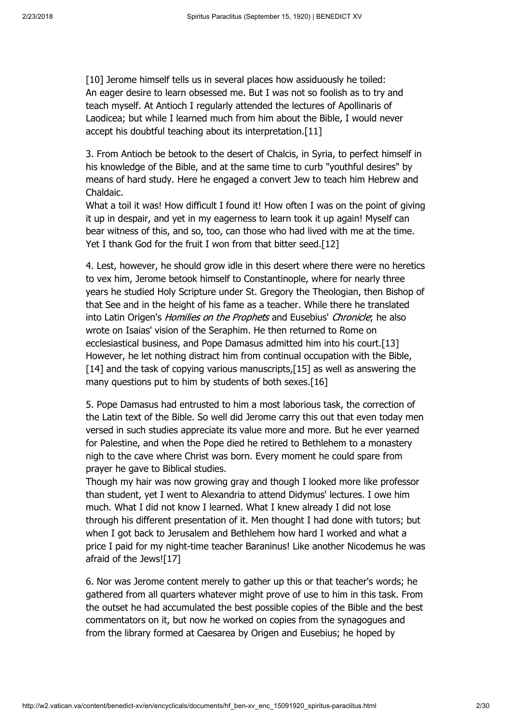[10] Jerome himself tells us in several places how assiduously he toiled: An eager desire to learn obsessed me. But I was not so foolish as to try and teach myself. At Antioch I regularly attended the lectures of Apollinaris of Laodicea; but while I learned much from him about the Bible, I would never accept his doubtful teaching about its interpretation.[11]

3. From Antioch be betook to the desert of Chalcis, in Syria, to perfect himself in his knowledge of the Bible, and at the same time to curb "youthful desires" by means of hard study. Here he engaged a convert Jew to teach him Hebrew and Chaldaic.

What a toil it was! How difficult I found it! How often I was on the point of giving it up in despair, and yet in my eagerness to learn took it up again! Myself can bear witness of this, and so, too, can those who had lived with me at the time. Yet I thank God for the fruit I won from that bitter seed.[12]

4. Lest, however, he should grow idle in this desert where there were no heretics to vex him, Jerome betook himself to Constantinople, where for nearly three years he studied Holy Scripture under St. Gregory the Theologian, then Bishop of that See and in the height of his fame as a teacher. While there he translated into Latin Origen's *Homilies on the Prophets* and Eusebius' Chronicle; he also wrote on Isaias' vision of the Seraphim. He then returned to Rome on ecclesiastical business, and Pope Damasus admitted him into his court.[13] However, he let nothing distract him from continual occupation with the Bible, [14] and the task of copying various manuscripts, [15] as well as answering the many questions put to him by students of both sexes.[16]

5. Pope Damasus had entrusted to him a most laborious task, the correction of the Latin text of the Bible. So well did Jerome carry this out that even today men versed in such studies appreciate its value more and more. But he ever yearned for Palestine, and when the Pope died he retired to Bethlehem to a monastery nigh to the cave where Christ was born. Every moment he could spare from prayer he gave to Biblical studies.

Though my hair was now growing gray and though I looked more like professor than student, yet I went to Alexandria to attend Didymus' lectures. I owe him much. What I did not know I learned. What I knew already I did not lose through his different presentation of it. Men thought I had done with tutors; but when I got back to Jerusalem and Bethlehem how hard I worked and what a price I paid for my night-time teacher Baraninus! Like another Nicodemus he was afraid of the Jews![17]

6. Nor was Jerome content merely to gather up this or that teacher's words; he gathered from all quarters whatever might prove of use to him in this task. From the outset he had accumulated the best possible copies of the Bible and the best commentators on it, but now he worked on copies from the synagogues and from the library formed at Caesarea by Origen and Eusebius; he hoped by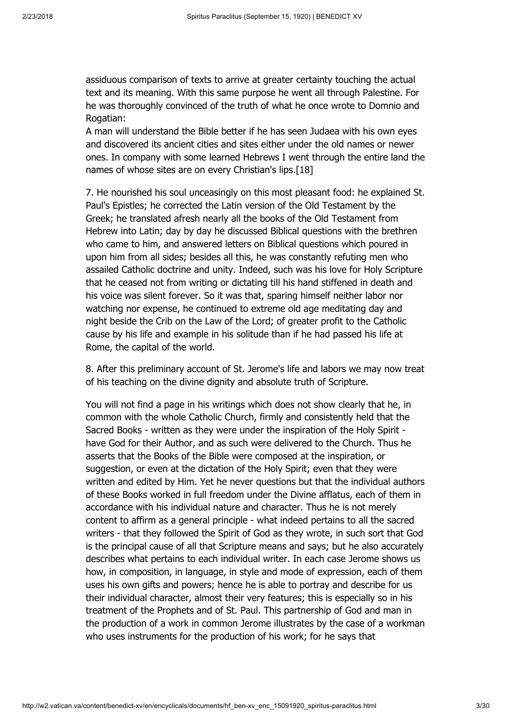assiduous comparison of texts to arrive at greater certainty touching the actual text and its meaning. With this same purpose he went all through Palestine. For he was thoroughly convinced of the truth of what he once wrote to Domnio and Rogatian:

A man will understand the Bible better if he has seen Judaea with his own eyes and discovered its ancient cities and sites either under the old names or newer ones. In company with some learned Hebrews I went through the entire land the names of whose sites are on every Christian's lips.[18]

7. He nourished his soul unceasingly on this most pleasant food: he explained St. Paul's Epistles; he corrected the Latin version of the Old Testament by the Greek; he translated afresh nearly all the books of the Old Testament from Hebrew into Latin; day by day he discussed Biblical questions with the brethren who came to him, and answered letters on Biblical questions which poured in upon him from all sides; besides all this, he was constantly refuting men who assailed Catholic doctrine and unity. Indeed, such was his love for Holy Scripture that he ceased not from writing or dictating till his hand stiffened in death and his voice was silent forever. So it was that, sparing himself neither labor nor watching nor expense, he continued to extreme old age meditating day and night beside the Crib on the Law of the Lord; of greater profit to the Catholic cause by his life and example in his solitude than if he had passed his life at Rome, the capital of the world.

8. After this preliminary account of St. Jerome's life and labors we may now treat of his teaching on the divine dignity and absolute truth of Scripture.

You will not find a page in his writings which does not show clearly that he, in common with the whole Catholic Church, firmly and consistently held that the Sacred Books - written as they were under the inspiration of the Holy Spirit have God for their Author, and as such were delivered to the Church. Thus he asserts that the Books of the Bible were composed at the inspiration, or suggestion, or even at the dictation of the Holy Spirit; even that they were written and edited by Him. Yet he never questions but that the individual authors of these Books worked in full freedom under the Divine afflatus, each of them in accordance with his individual nature and character. Thus he is not merely content to affirm as a general principle - what indeed pertains to all the sacred writers - that they followed the Spirit of God as they wrote, in such sort that God is the principal cause of all that Scripture means and says; but he also accurately describes what pertains to each individual writer. In each case Jerome shows us how, in composition, in language, in style and mode of expression, each of them uses his own gifts and powers; hence he is able to portray and describe for us their individual character, almost their very features; this is especially so in his treatment of the Prophets and of St. Paul. This partnership of God and man in the production of a work in common Jerome illustrates by the case of a workman who uses instruments for the production of his work; for he says that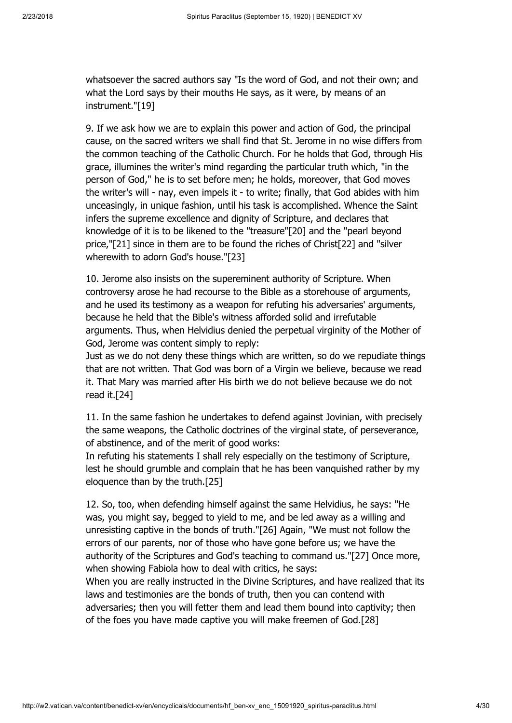whatsoever the sacred authors say "Is the word of God, and not their own; and what the Lord says by their mouths He says, as it were, by means of an instrument."[19]

9. If we ask how we are to explain this power and action of God, the principal cause, on the sacred writers we shall find that St. Jerome in no wise differs from the common teaching of the Catholic Church. For he holds that God, through His grace, illumines the writer's mind regarding the particular truth which, "in the person of God," he is to set before men; he holds, moreover, that God moves the writer's will - nay, even impels it - to write; finally, that God abides with him unceasingly, in unique fashion, until his task is accomplished. Whence the Saint infers the supreme excellence and dignity of Scripture, and declares that knowledge of it is to be likened to the "treasure"[20] and the "pearl beyond price,"[21] since in them are to be found the riches of Christ[22] and "silver wherewith to adorn God's house."[23]

10. Jerome also insists on the supereminent authority of Scripture. When controversy arose he had recourse to the Bible as a storehouse of arguments, and he used its testimony as a weapon for refuting his adversaries' arguments, because he held that the Bible's witness afforded solid and irrefutable arguments. Thus, when Helvidius denied the perpetual virginity of the Mother of God, Jerome was content simply to reply:

Just as we do not deny these things which are written, so do we repudiate things that are not written. That God was born of a Virgin we believe, because we read it. That Mary was married after His birth we do not believe because we do not read it.[24]

11. In the same fashion he undertakes to defend against Jovinian, with precisely the same weapons, the Catholic doctrines of the virginal state, of perseverance, of abstinence, and of the merit of good works:

In refuting his statements I shall rely especially on the testimony of Scripture, lest he should grumble and complain that he has been vanquished rather by my eloquence than by the truth.[25]

12. So, too, when defending himself against the same Helvidius, he says: "He was, you might say, begged to yield to me, and be led away as a willing and unresisting captive in the bonds of truth."[26] Again, "We must not follow the errors of our parents, nor of those who have gone before us; we have the authority of the Scriptures and God's teaching to command us."[27] Once more, when showing Fabiola how to deal with critics, he says:

When you are really instructed in the Divine Scriptures, and have realized that its laws and testimonies are the bonds of truth, then you can contend with adversaries; then you will fetter them and lead them bound into captivity; then of the foes you have made captive you will make freemen of God.[28]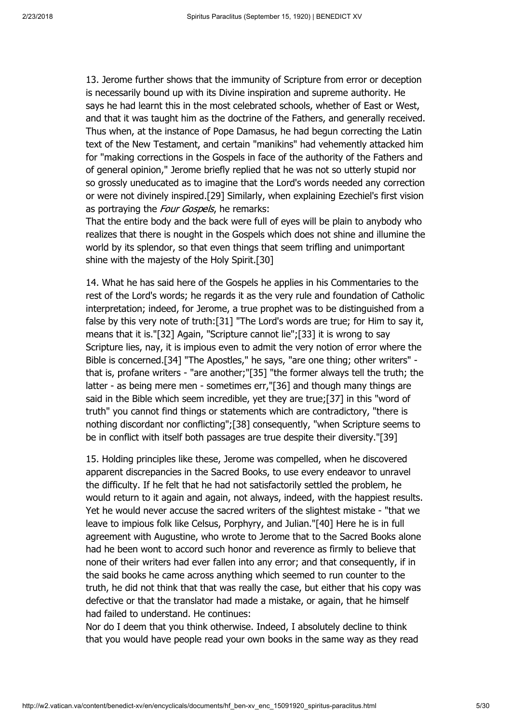13. Jerome further shows that the immunity of Scripture from error or deception is necessarily bound up with its Divine inspiration and supreme authority. He says he had learnt this in the most celebrated schools, whether of East or West, and that it was taught him as the doctrine of the Fathers, and generally received. Thus when, at the instance of Pope Damasus, he had begun correcting the Latin text of the New Testament, and certain "manikins" had vehemently attacked him for "making corrections in the Gospels in face of the authority of the Fathers and of general opinion," Jerome briefly replied that he was not so utterly stupid nor so grossly uneducated as to imagine that the Lord's words needed any correction or were not divinely inspired.[29] Similarly, when explaining Ezechiel's first vision as portraying the *Four Gospels*, he remarks:

That the entire body and the back were full of eyes will be plain to anybody who realizes that there is nought in the Gospels which does not shine and illumine the world by its splendor, so that even things that seem trifling and unimportant shine with the majesty of the Holy Spirit.[30]

14. What he has said here of the Gospels he applies in his Commentaries to the rest of the Lord's words; he regards it as the very rule and foundation of Catholic interpretation; indeed, for Jerome, a true prophet was to be distinguished from a false by this very note of truth:[31] "The Lord's words are true; for Him to say it, means that it is."[32] Again, "Scripture cannot lie";[33] it is wrong to say Scripture lies, nay, it is impious even to admit the very notion of error where the Bible is concerned.[34] "The Apostles," he says, "are one thing; other writers" that is, profane writers - "are another;"[35] "the former always tell the truth; the latter - as being mere men - sometimes err,"[36] and though many things are said in the Bible which seem incredible, yet they are true;[37] in this "word of truth" you cannot find things or statements which are contradictory, "there is nothing discordant nor conflicting";[38] consequently, "when Scripture seems to be in conflict with itself both passages are true despite their diversity."[39]

15. Holding principles like these, Jerome was compelled, when he discovered apparent discrepancies in the Sacred Books, to use every endeavor to unravel the difficulty. If he felt that he had not satisfactorily settled the problem, he would return to it again and again, not always, indeed, with the happiest results. Yet he would never accuse the sacred writers of the slightest mistake - "that we leave to impious folk like Celsus, Porphyry, and Julian."[40] Here he is in full agreement with Augustine, who wrote to Jerome that to the Sacred Books alone had he been wont to accord such honor and reverence as firmly to believe that none of their writers had ever fallen into any error; and that consequently, if in the said books he came across anything which seemed to run counter to the truth, he did not think that that was really the case, but either that his copy was defective or that the translator had made a mistake, or again, that he himself had failed to understand. He continues:

Nor do I deem that you think otherwise. Indeed, I absolutely decline to think that you would have people read your own books in the same way as they read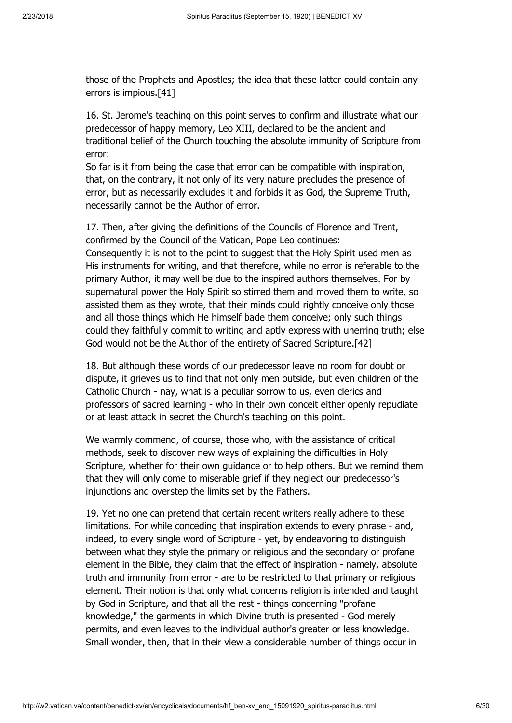those of the Prophets and Apostles; the idea that these latter could contain any errors is impious.[41]

16. St. Jerome's teaching on this point serves to confirm and illustrate what our predecessor of happy memory, Leo XIII, declared to be the ancient and traditional belief of the Church touching the absolute immunity of Scripture from error:

So far is it from being the case that error can be compatible with inspiration, that, on the contrary, it not only of its very nature precludes the presence of error, but as necessarily excludes it and forbids it as God, the Supreme Truth, necessarily cannot be the Author of error.

17. Then, after giving the definitions of the Councils of Florence and Trent, confirmed by the Council of the Vatican, Pope Leo continues: Consequently it is not to the point to suggest that the Holy Spirit used men as His instruments for writing, and that therefore, while no error is referable to the primary Author, it may well be due to the inspired authors themselves. For by supernatural power the Holy Spirit so stirred them and moved them to write, so assisted them as they wrote, that their minds could rightly conceive only those and all those things which He himself bade them conceive; only such things could they faithfully commit to writing and aptly express with unerring truth; else God would not be the Author of the entirety of Sacred Scripture.[42]

18. But although these words of our predecessor leave no room for doubt or dispute, it grieves us to find that not only men outside, but even children of the Catholic Church - nay, what is a peculiar sorrow to us, even clerics and professors of sacred learning - who in their own conceit either openly repudiate or at least attack in secret the Church's teaching on this point.

We warmly commend, of course, those who, with the assistance of critical methods, seek to discover new ways of explaining the difficulties in Holy Scripture, whether for their own guidance or to help others. But we remind them that they will only come to miserable grief if they neglect our predecessor's injunctions and overstep the limits set by the Fathers.

19. Yet no one can pretend that certain recent writers really adhere to these limitations. For while conceding that inspiration extends to every phrase - and, indeed, to every single word of Scripture - yet, by endeavoring to distinguish between what they style the primary or religious and the secondary or profane element in the Bible, they claim that the effect of inspiration - namely, absolute truth and immunity from error - are to be restricted to that primary or religious element. Their notion is that only what concerns religion is intended and taught by God in Scripture, and that all the rest - things concerning "profane knowledge," the garments in which Divine truth is presented - God merely permits, and even leaves to the individual author's greater or less knowledge. Small wonder, then, that in their view a considerable number of things occur in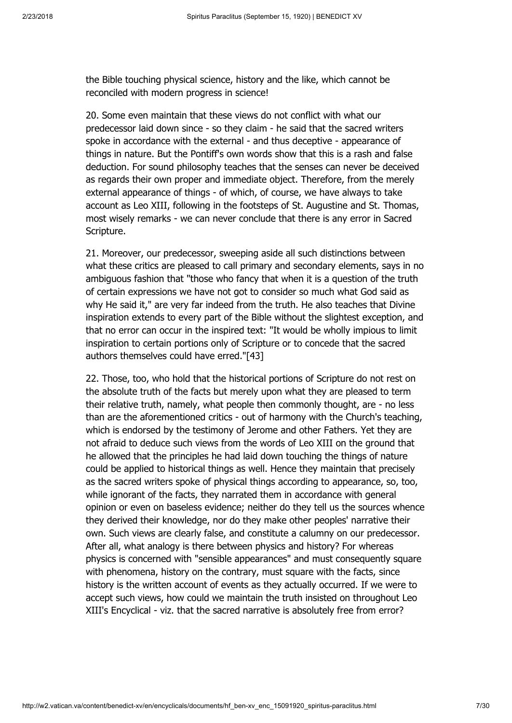the Bible touching physical science, history and the like, which cannot be reconciled with modern progress in science!

20. Some even maintain that these views do not conflict with what our predecessor laid down since - so they claim - he said that the sacred writers spoke in accordance with the external - and thus deceptive - appearance of things in nature. But the Pontiff's own words show that this is a rash and false deduction. For sound philosophy teaches that the senses can never be deceived as regards their own proper and immediate object. Therefore, from the merely external appearance of things - of which, of course, we have always to take account as Leo XIII, following in the footsteps of St. Augustine and St. Thomas, most wisely remarks - we can never conclude that there is any error in Sacred Scripture.

21. Moreover, our predecessor, sweeping aside all such distinctions between what these critics are pleased to call primary and secondary elements, says in no ambiguous fashion that "those who fancy that when it is a question of the truth of certain expressions we have not got to consider so much what God said as why He said it," are very far indeed from the truth. He also teaches that Divine inspiration extends to every part of the Bible without the slightest exception, and that no error can occur in the inspired text: "It would be wholly impious to limit inspiration to certain portions only of Scripture or to concede that the sacred authors themselves could have erred."[43]

22. Those, too, who hold that the historical portions of Scripture do not rest on the absolute truth of the facts but merely upon what they are pleased to term their relative truth, namely, what people then commonly thought, are - no less than are the aforementioned critics - out of harmony with the Church's teaching, which is endorsed by the testimony of Jerome and other Fathers. Yet they are not afraid to deduce such views from the words of Leo XIII on the ground that he allowed that the principles he had laid down touching the things of nature could be applied to historical things as well. Hence they maintain that precisely as the sacred writers spoke of physical things according to appearance, so, too, while ignorant of the facts, they narrated them in accordance with general opinion or even on baseless evidence; neither do they tell us the sources whence they derived their knowledge, nor do they make other peoples' narrative their own. Such views are clearly false, and constitute a calumny on our predecessor. After all, what analogy is there between physics and history? For whereas physics is concerned with "sensible appearances" and must consequently square with phenomena, history on the contrary, must square with the facts, since history is the written account of events as they actually occurred. If we were to accept such views, how could we maintain the truth insisted on throughout Leo XIII's Encyclical - viz. that the sacred narrative is absolutely free from error?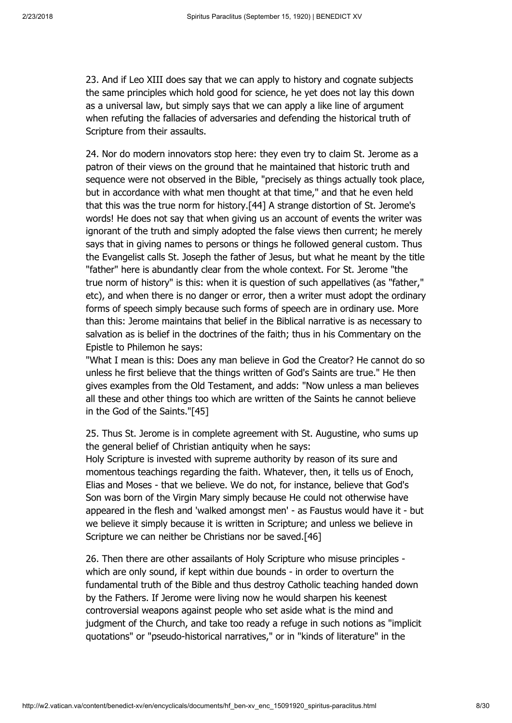23. And if Leo XIII does say that we can apply to history and cognate subjects the same principles which hold good for science, he yet does not lay this down as a universal law, but simply says that we can apply a like line of argument when refuting the fallacies of adversaries and defending the historical truth of Scripture from their assaults.

24. Nor do modern innovators stop here: they even try to claim St. Jerome as a patron of their views on the ground that he maintained that historic truth and sequence were not observed in the Bible, "precisely as things actually took place, but in accordance with what men thought at that time," and that he even held that this was the true norm for history.[44] A strange distortion of St. Jerome's words! He does not say that when giving us an account of events the writer was ignorant of the truth and simply adopted the false views then current; he merely says that in giving names to persons or things he followed general custom. Thus the Evangelist calls St. Joseph the father of Jesus, but what he meant by the title "father" here is abundantly clear from the whole context. For St. Jerome "the true norm of history" is this: when it is question of such appellatives (as "father," etc), and when there is no danger or error, then a writer must adopt the ordinary forms of speech simply because such forms of speech are in ordinary use. More than this: Jerome maintains that belief in the Biblical narrative is as necessary to salvation as is belief in the doctrines of the faith; thus in his Commentary on the Epistle to Philemon he says:

"What I mean is this: Does any man believe in God the Creator? He cannot do so unless he first believe that the things written of God's Saints are true." He then gives examples from the Old Testament, and adds: "Now unless a man believes all these and other things too which are written of the Saints he cannot believe in the God of the Saints."[45]

25. Thus St. Jerome is in complete agreement with St. Augustine, who sums up the general belief of Christian antiquity when he says:

Holy Scripture is invested with supreme authority by reason of its sure and momentous teachings regarding the faith. Whatever, then, it tells us of Enoch, Elias and Moses - that we believe. We do not, for instance, believe that God's Son was born of the Virgin Mary simply because He could not otherwise have appeared in the flesh and 'walked amongst men' - as Faustus would have it - but we believe it simply because it is written in Scripture; and unless we believe in Scripture we can neither be Christians nor be saved.[46]

26. Then there are other assailants of Holy Scripture who misuse principles which are only sound, if kept within due bounds - in order to overturn the fundamental truth of the Bible and thus destroy Catholic teaching handed down by the Fathers. If Jerome were living now he would sharpen his keenest controversial weapons against people who set aside what is the mind and judgment of the Church, and take too ready a refuge in such notions as "implicit quotations" or "pseudo-historical narratives," or in "kinds of literature" in the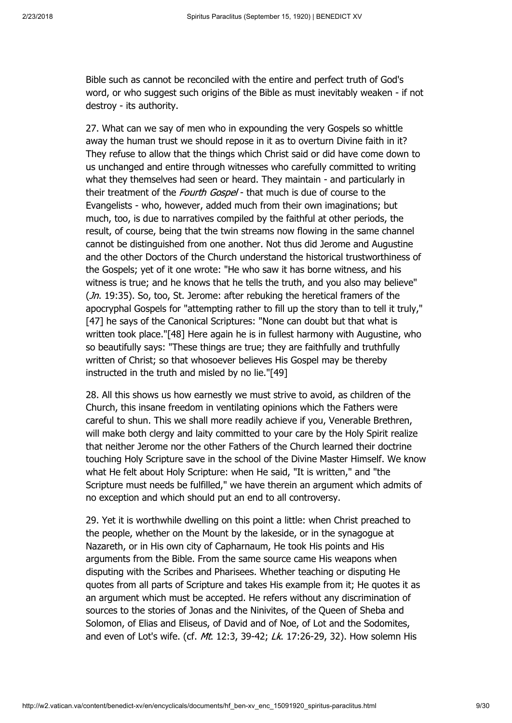Bible such as cannot be reconciled with the entire and perfect truth of God's word, or who suggest such origins of the Bible as must inevitably weaken - if not destroy - its authority.

27. What can we say of men who in expounding the very Gospels so whittle away the human trust we should repose in it as to overturn Divine faith in it? They refuse to allow that the things which Christ said or did have come down to us unchanged and entire through witnesses who carefully committed to writing what they themselves had seen or heard. They maintain - and particularly in their treatment of the *Fourth Gospel* - that much is due of course to the Evangelists - who, however, added much from their own imaginations; but much, too, is due to narratives compiled by the faithful at other periods, the result, of course, being that the twin streams now flowing in the same channel cannot be distinguished from one another. Not thus did Jerome and Augustine and the other Doctors of the Church understand the historical trustworthiness of the Gospels; yet of it one wrote: "He who saw it has borne witness, and his witness is true; and he knows that he tells the truth, and you also may believe" (*Jn.* 19:35). So, too, St. Jerome: after rebuking the heretical framers of the apocryphal Gospels for "attempting rather to fill up the story than to tell it truly," [47] he says of the Canonical Scriptures: "None can doubt but that what is written took place."[48] Here again he is in fullest harmony with Augustine, who so beautifully says: "These things are true; they are faithfully and truthfully written of Christ; so that whosoever believes His Gospel may be thereby instructed in the truth and misled by no lie."[49]

28. All this shows us how earnestly we must strive to avoid, as children of the Church, this insane freedom in ventilating opinions which the Fathers were careful to shun. This we shall more readily achieve if you, Venerable Brethren, will make both clergy and laity committed to your care by the Holy Spirit realize that neither Jerome nor the other Fathers of the Church learned their doctrine touching Holy Scripture save in the school of the Divine Master Himself. We know what He felt about Holy Scripture: when He said, "It is written," and "the Scripture must needs be fulfilled," we have therein an argument which admits of no exception and which should put an end to all controversy.

29. Yet it is worthwhile dwelling on this point a little: when Christ preached to the people, whether on the Mount by the lakeside, or in the synagogue at Nazareth, or in His own city of Capharnaum, He took His points and His arguments from the Bible. From the same source came His weapons when disputing with the Scribes and Pharisees. Whether teaching or disputing He quotes from all parts of Scripture and takes His example from it; He quotes it as an argument which must be accepted. He refers without any discrimination of sources to the stories of Jonas and the Ninivites, of the Queen of Sheba and Solomon, of Elias and Eliseus, of David and of Noe, of Lot and the Sodomites, and even of Lot's wife. (cf. *Mt.* 12:3, 39-42; *Lk.* 17:26-29, 32). How solemn His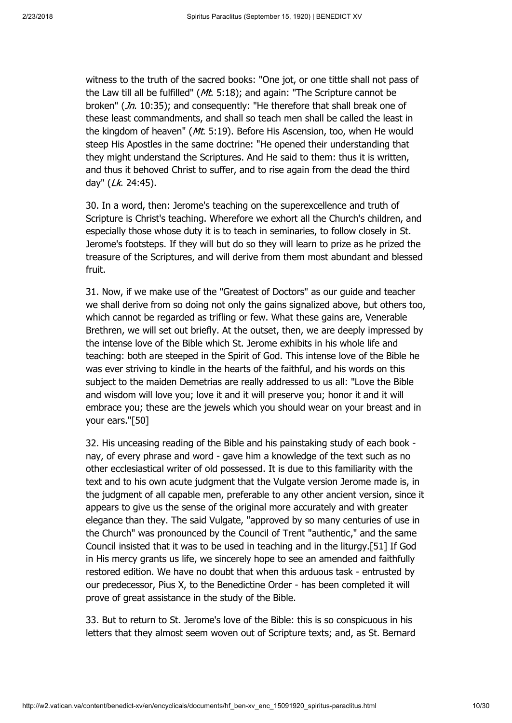witness to the truth of the sacred books: "One jot, or one tittle shall not pass of the Law till all be fulfilled" ( $Mt$ . 5:18); and again: "The Scripture cannot be broken" (*Jn.* 10:35); and consequently: "He therefore that shall break one of these least commandments, and shall so teach men shall be called the least in the kingdom of heaven" (*Mt.* 5:19). Before His Ascension, too, when He would steep His Apostles in the same doctrine: "He opened their understanding that they might understand the Scriptures. And He said to them: thus it is written, and thus it behoved Christ to suffer, and to rise again from the dead the third day" (Lk. 24:45).

30. In a word, then: Jerome's teaching on the superexcellence and truth of Scripture is Christ's teaching. Wherefore we exhort all the Church's children, and especially those whose duty it is to teach in seminaries, to follow closely in St. Jerome's footsteps. If they will but do so they will learn to prize as he prized the treasure of the Scriptures, and will derive from them most abundant and blessed fruit.

31. Now, if we make use of the "Greatest of Doctors" as our guide and teacher we shall derive from so doing not only the gains signalized above, but others too, which cannot be regarded as trifling or few. What these gains are, Venerable Brethren, we will set out briefly. At the outset, then, we are deeply impressed by the intense love of the Bible which St. Jerome exhibits in his whole life and teaching: both are steeped in the Spirit of God. This intense love of the Bible he was ever striving to kindle in the hearts of the faithful, and his words on this subject to the maiden Demetrias are really addressed to us all: "Love the Bible and wisdom will love you; love it and it will preserve you; honor it and it will embrace you; these are the jewels which you should wear on your breast and in your ears."[50]

32. His unceasing reading of the Bible and his painstaking study of each book nay, of every phrase and word - gave him a knowledge of the text such as no other ecclesiastical writer of old possessed. It is due to this familiarity with the text and to his own acute judgment that the Vulgate version Jerome made is, in the judgment of all capable men, preferable to any other ancient version, since it appears to give us the sense of the original more accurately and with greater elegance than they. The said Vulgate, "approved by so many centuries of use in the Church" was pronounced by the Council of Trent "authentic," and the same Council insisted that it was to be used in teaching and in the liturgy.[51] If God in His mercy grants us life, we sincerely hope to see an amended and faithfully restored edition. We have no doubt that when this arduous task - entrusted by our predecessor, Pius X, to the Benedictine Order - has been completed it will prove of great assistance in the study of the Bible.

33. But to return to St. Jerome's love of the Bible: this is so conspicuous in his letters that they almost seem woven out of Scripture texts; and, as St. Bernard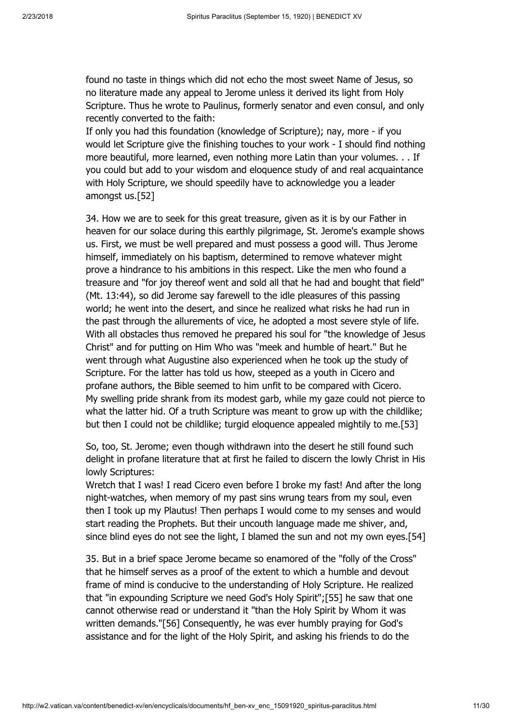found no taste in things which did not echo the most sweet Name of Jesus, so no literature made any appeal to Jerome unless it derived its light from Holy Scripture. Thus he wrote to Paulinus, formerly senator and even consul, and only recently converted to the faith:

If only you had this foundation (knowledge of Scripture); nay, more - if you would let Scripture give the finishing touches to your work - I should find nothing more beautiful, more learned, even nothing more Latin than your volumes. . . If you could but add to your wisdom and eloquence study of and real acquaintance with Holy Scripture, we should speedily have to acknowledge you a leader amongst us.[52]

34. How we are to seek for this great treasure, given as it is by our Father in heaven for our solace during this earthly pilgrimage, St. Jerome's example shows us. First, we must be well prepared and must possess a good will. Thus Jerome himself, immediately on his baptism, determined to remove whatever might prove a hindrance to his ambitions in this respect. Like the men who found a treasure and "for joy thereof went and sold all that he had and bought that field" (Mt. 13:44), so did Jerome say farewell to the idle pleasures of this passing world; he went into the desert, and since he realized what risks he had run in the past through the allurements of vice, he adopted a most severe style of life. With all obstacles thus removed he prepared his soul for "the knowledge of Jesus Christ" and for putting on Him Who was "meek and humble of heart." But he went through what Augustine also experienced when he took up the study of Scripture. For the latter has told us how, steeped as a youth in Cicero and profane authors, the Bible seemed to him unfit to be compared with Cicero. My swelling pride shrank from its modest garb, while my gaze could not pierce to what the latter hid. Of a truth Scripture was meant to grow up with the childlike; but then I could not be childlike; turgid eloquence appealed mightily to me.[53]

So, too, St. Jerome; even though withdrawn into the desert he still found such delight in profane literature that at first he failed to discern the lowly Christ in His lowly Scriptures:

Wretch that I was! I read Cicero even before I broke my fast! And after the long night-watches, when memory of my past sins wrung tears from my soul, even then I took up my Plautus! Then perhaps I would come to my senses and would start reading the Prophets. But their uncouth language made me shiver, and, since blind eyes do not see the light, I blamed the sun and not my own eyes.[54]

35. But in a brief space Jerome became so enamored of the "folly of the Cross" that he himself serves as a proof of the extent to which a humble and devout frame of mind is conducive to the understanding of Holy Scripture. He realized that "in expounding Scripture we need God's Holy Spirit";[55] he saw that one cannot otherwise read or understand it "than the Holy Spirit by Whom it was written demands."[56] Consequently, he was ever humbly praying for God's assistance and for the light of the Holy Spirit, and asking his friends to do the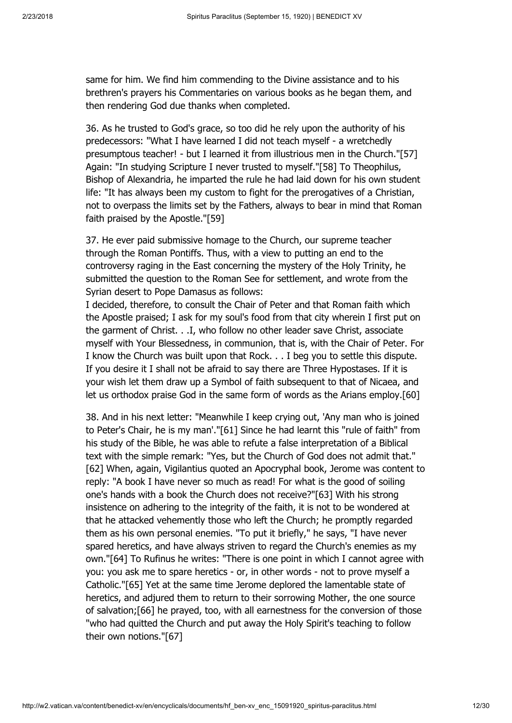same for him. We find him commending to the Divine assistance and to his brethren's prayers his Commentaries on various books as he began them, and then rendering God due thanks when completed.

36. As he trusted to God's grace, so too did he rely upon the authority of his predecessors: "What I have learned I did not teach myself - a wretchedly presumptous teacher! - but I learned it from illustrious men in the Church."[57] Again: "In studying Scripture I never trusted to myself."[58] To Theophilus, Bishop of Alexandria, he imparted the rule he had laid down for his own student life: "It has always been my custom to fight for the prerogatives of a Christian, not to overpass the limits set by the Fathers, always to bear in mind that Roman faith praised by the Apostle."[59]

37. He ever paid submissive homage to the Church, our supreme teacher through the Roman Pontiffs. Thus, with a view to putting an end to the controversy raging in the East concerning the mystery of the Holy Trinity, he submitted the question to the Roman See for settlement, and wrote from the Syrian desert to Pope Damasus as follows:

I decided, therefore, to consult the Chair of Peter and that Roman faith which the Apostle praised; I ask for my soul's food from that city wherein I first put on the garment of Christ. . .I, who follow no other leader save Christ, associate myself with Your Blessedness, in communion, that is, with the Chair of Peter. For I know the Church was built upon that Rock. . . I beg you to settle this dispute. If you desire it I shall not be afraid to say there are Three Hypostases. If it is your wish let them draw up a Symbol of faith subsequent to that of Nicaea, and let us orthodox praise God in the same form of words as the Arians employ.[60]

38. And in his next letter: "Meanwhile I keep crying out, 'Any man who is joined to Peter's Chair, he is my man'."[61] Since he had learnt this "rule of faith" from his study of the Bible, he was able to refute a false interpretation of a Biblical text with the simple remark: "Yes, but the Church of God does not admit that." [62] When, again, Vigilantius quoted an Apocryphal book, Jerome was content to reply: "A book I have never so much as read! For what is the good of soiling one's hands with a book the Church does not receive?"[63] With his strong insistence on adhering to the integrity of the faith, it is not to be wondered at that he attacked vehemently those who left the Church; he promptly regarded them as his own personal enemies. "To put it briefly," he says, "I have never spared heretics, and have always striven to regard the Church's enemies as my own."[64] To Rufinus he writes: "There is one point in which I cannot agree with you: you ask me to spare heretics - or, in other words - not to prove myself a Catholic."[65] Yet at the same time Jerome deplored the lamentable state of heretics, and adjured them to return to their sorrowing Mother, the one source of salvation;[66] he prayed, too, with all earnestness for the conversion of those "who had quitted the Church and put away the Holy Spirit's teaching to follow their own notions."[67]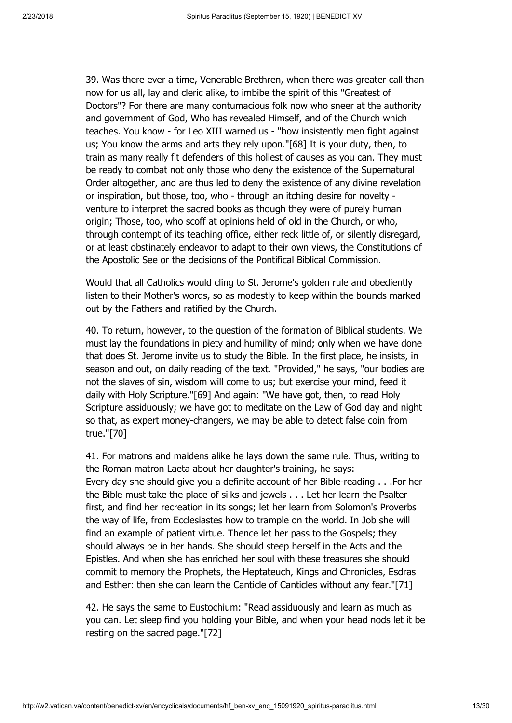39. Was there ever a time, Venerable Brethren, when there was greater call than now for us all, lay and cleric alike, to imbibe the spirit of this "Greatest of Doctors"? For there are many contumacious folk now who sneer at the authority and government of God, Who has revealed Himself, and of the Church which teaches. You know - for Leo XIII warned us - "how insistently men fight against us; You know the arms and arts they rely upon."[68] It is your duty, then, to train as many really fit defenders of this holiest of causes as you can. They must be ready to combat not only those who deny the existence of the Supernatural Order altogether, and are thus led to deny the existence of any divine revelation or inspiration, but those, too, who - through an itching desire for novelty venture to interpret the sacred books as though they were of purely human origin; Those, too, who scoff at opinions held of old in the Church, or who, through contempt of its teaching office, either reck little of, or silently disregard, or at least obstinately endeavor to adapt to their own views, the Constitutions of the Apostolic See or the decisions of the Pontifical Biblical Commission.

Would that all Catholics would cling to St. Jerome's golden rule and obediently listen to their Mother's words, so as modestly to keep within the bounds marked out by the Fathers and ratified by the Church.

40. To return, however, to the question of the formation of Biblical students. We must lay the foundations in piety and humility of mind; only when we have done that does St. Jerome invite us to study the Bible. In the first place, he insists, in season and out, on daily reading of the text. "Provided," he says, "our bodies are not the slaves of sin, wisdom will come to us; but exercise your mind, feed it daily with Holy Scripture."[69] And again: "We have got, then, to read Holy Scripture assiduously; we have got to meditate on the Law of God day and night so that, as expert money-changers, we may be able to detect false coin from true."[70]

41. For matrons and maidens alike he lays down the same rule. Thus, writing to the Roman matron Laeta about her daughter's training, he says: Every day she should give you a definite account of her Bible-reading . . .For her the Bible must take the place of silks and jewels . . . Let her learn the Psalter first, and find her recreation in its songs; let her learn from Solomon's Proverbs the way of life, from Ecclesiastes how to trample on the world. In Job she will find an example of patient virtue. Thence let her pass to the Gospels; they should always be in her hands. She should steep herself in the Acts and the Epistles. And when she has enriched her soul with these treasures she should commit to memory the Prophets, the Heptateuch, Kings and Chronicles, Esdras and Esther: then she can learn the Canticle of Canticles without any fear."[71]

42. He says the same to Eustochium: "Read assiduously and learn as much as you can. Let sleep find you holding your Bible, and when your head nods let it be resting on the sacred page."[72]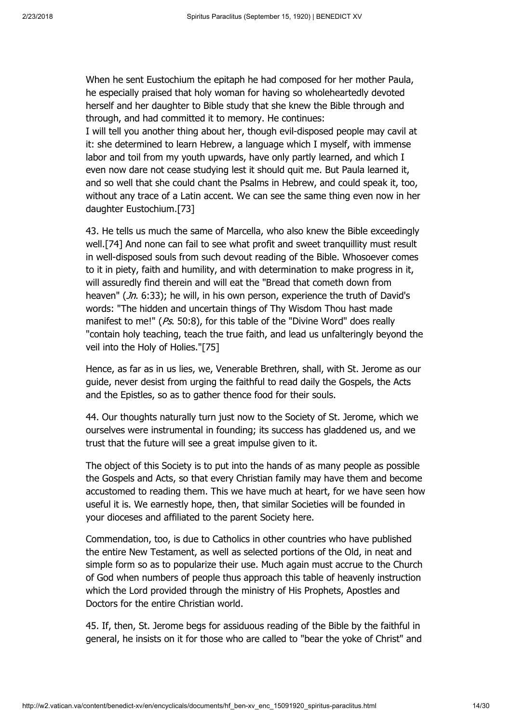When he sent Eustochium the epitaph he had composed for her mother Paula, he especially praised that holy woman for having so wholeheartedly devoted herself and her daughter to Bible study that she knew the Bible through and through, and had committed it to memory. He continues:

I will tell you another thing about her, though evil-disposed people may cavil at it: she determined to learn Hebrew, a language which I myself, with immense labor and toil from my youth upwards, have only partly learned, and which I even now dare not cease studying lest it should quit me. But Paula learned it, and so well that she could chant the Psalms in Hebrew, and could speak it, too, without any trace of a Latin accent. We can see the same thing even now in her daughter Eustochium.[73]

43. He tells us much the same of Marcella, who also knew the Bible exceedingly well.[74] And none can fail to see what profit and sweet tranquillity must result in well-disposed souls from such devout reading of the Bible. Whosoever comes to it in piety, faith and humility, and with determination to make progress in it, will assuredly find therein and will eat the "Bread that cometh down from heaven" (*Jn.* 6:33); he will, in his own person, experience the truth of David's words: "The hidden and uncertain things of Thy Wisdom Thou hast made manifest to me!" (Ps. 50:8), for this table of the "Divine Word" does really "contain holy teaching, teach the true faith, and lead us unfalteringly beyond the veil into the Holy of Holies."[75]

Hence, as far as in us lies, we, Venerable Brethren, shall, with St. Jerome as our guide, never desist from urging the faithful to read daily the Gospels, the Acts and the Epistles, so as to gather thence food for their souls.

44. Our thoughts naturally turn just now to the Society of St. Jerome, which we ourselves were instrumental in founding; its success has gladdened us, and we trust that the future will see a great impulse given to it.

The object of this Society is to put into the hands of as many people as possible the Gospels and Acts, so that every Christian family may have them and become accustomed to reading them. This we have much at heart, for we have seen how useful it is. We earnestly hope, then, that similar Societies will be founded in your dioceses and affiliated to the parent Society here.

Commendation, too, is due to Catholics in other countries who have published the entire New Testament, as well as selected portions of the Old, in neat and simple form so as to popularize their use. Much again must accrue to the Church of God when numbers of people thus approach this table of heavenly instruction which the Lord provided through the ministry of His Prophets, Apostles and Doctors for the entire Christian world.

45. If, then, St. Jerome begs for assiduous reading of the Bible by the faithful in general, he insists on it for those who are called to "bear the yoke of Christ" and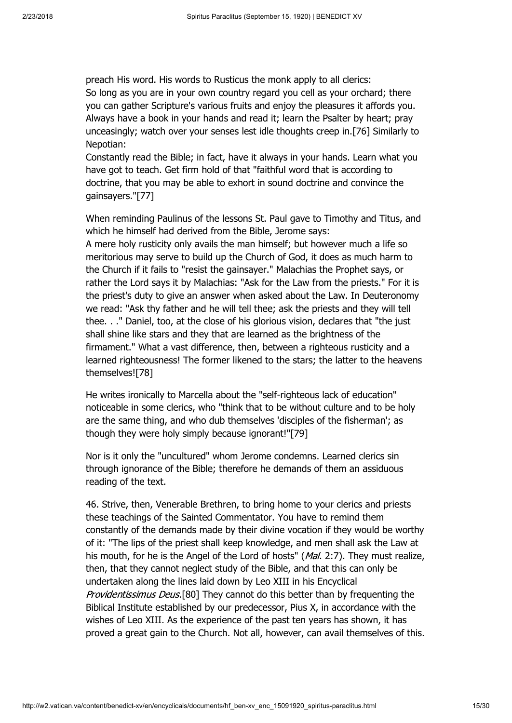preach His word. His words to Rusticus the monk apply to all clerics: So long as you are in your own country regard you cell as your orchard; there you can gather Scripture's various fruits and enjoy the pleasures it affords you. Always have a book in your hands and read it; learn the Psalter by heart; pray unceasingly; watch over your senses lest idle thoughts creep in.[76] Similarly to Nepotian:

Constantly read the Bible; in fact, have it always in your hands. Learn what you have got to teach. Get firm hold of that "faithful word that is according to doctrine, that you may be able to exhort in sound doctrine and convince the gainsayers."[77]

When reminding Paulinus of the lessons St. Paul gave to Timothy and Titus, and which he himself had derived from the Bible, Jerome says:

A mere holy rusticity only avails the man himself; but however much a life so meritorious may serve to build up the Church of God, it does as much harm to the Church if it fails to "resist the gainsayer." Malachias the Prophet says, or rather the Lord says it by Malachias: "Ask for the Law from the priests." For it is the priest's duty to give an answer when asked about the Law. In Deuteronomy we read: "Ask thy father and he will tell thee; ask the priests and they will tell thee. . ." Daniel, too, at the close of his glorious vision, declares that "the just shall shine like stars and they that are learned as the brightness of the firmament." What a vast difference, then, between a righteous rusticity and a learned righteousness! The former likened to the stars; the latter to the heavens themselves![78]

He writes ironically to Marcella about the "self-righteous lack of education" noticeable in some clerics, who "think that to be without culture and to be holy are the same thing, and who dub themselves 'disciples of the fisherman'; as though they were holy simply because ignorant!"[79]

Nor is it only the "uncultured" whom Jerome condemns. Learned clerics sin through ignorance of the Bible; therefore he demands of them an assiduous reading of the text.

46. Strive, then, Venerable Brethren, to bring home to your clerics and priests these teachings of the Sainted Commentator. You have to remind them constantly of the demands made by their divine vocation if they would be worthy of it: "The lips of the priest shall keep knowledge, and men shall ask the Law at his mouth, for he is the Angel of the Lord of hosts" (*Mal.* 2:7). They must realize, then, that they cannot neglect study of the Bible, and that this can only be undertaken along the lines laid down by Leo XIII in his Encyclical Providentissimus Deus.[80] They cannot do this better than by frequenting the Biblical Institute established by our predecessor, Pius X, in accordance with the wishes of Leo XIII. As the experience of the past ten years has shown, it has proved a great gain to the Church. Not all, however, can avail themselves of this.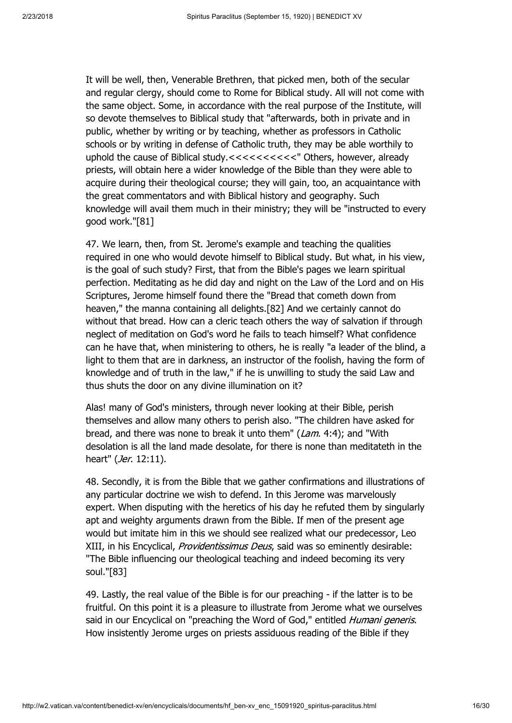It will be well, then, Venerable Brethren, that picked men, both of the secular and regular clergy, should come to Rome for Biblical study. All will not come with the same object. Some, in accordance with the real purpose of the Institute, will so devote themselves to Biblical study that "afterwards, both in private and in public, whether by writing or by teaching, whether as professors in Catholic schools or by writing in defense of Catholic truth, they may be able worthily to uphold the cause of Biblical study.<<<<<<<<<<" Others, however, already priests, will obtain here a wider knowledge of the Bible than they were able to acquire during their theological course; they will gain, too, an acquaintance with the great commentators and with Biblical history and geography. Such knowledge will avail them much in their ministry; they will be "instructed to every good work."[81]

47. We learn, then, from St. Jerome's example and teaching the qualities required in one who would devote himself to Biblical study. But what, in his view, is the goal of such study? First, that from the Bible's pages we learn spiritual perfection. Meditating as he did day and night on the Law of the Lord and on His Scriptures, Jerome himself found there the "Bread that cometh down from heaven," the manna containing all delights.[82] And we certainly cannot do without that bread. How can a cleric teach others the way of salvation if through neglect of meditation on God's word he fails to teach himself? What confidence can he have that, when ministering to others, he is really "a leader of the blind, a light to them that are in darkness, an instructor of the foolish, having the form of knowledge and of truth in the law," if he is unwilling to study the said Law and thus shuts the door on any divine illumination on it?

Alas! many of God's ministers, through never looking at their Bible, perish themselves and allow many others to perish also. "The children have asked for bread, and there was none to break it unto them" (Lam. 4:4); and "With desolation is all the land made desolate, for there is none than meditateth in the heart" (*Jer.* 12:11).

48. Secondly, it is from the Bible that we gather confirmations and illustrations of any particular doctrine we wish to defend. In this Jerome was marvelously expert. When disputing with the heretics of his day he refuted them by singularly apt and weighty arguments drawn from the Bible. If men of the present age would but imitate him in this we should see realized what our predecessor, Leo XIII, in his Encyclical, Providentissimus Deus, said was so eminently desirable: "The Bible influencing our theological teaching and indeed becoming its very soul."[83]

49. Lastly, the real value of the Bible is for our preaching - if the latter is to be fruitful. On this point it is a pleasure to illustrate from Jerome what we ourselves said in our Encyclical on "preaching the Word of God," entitled Humani generis. How insistently Jerome urges on priests assiduous reading of the Bible if they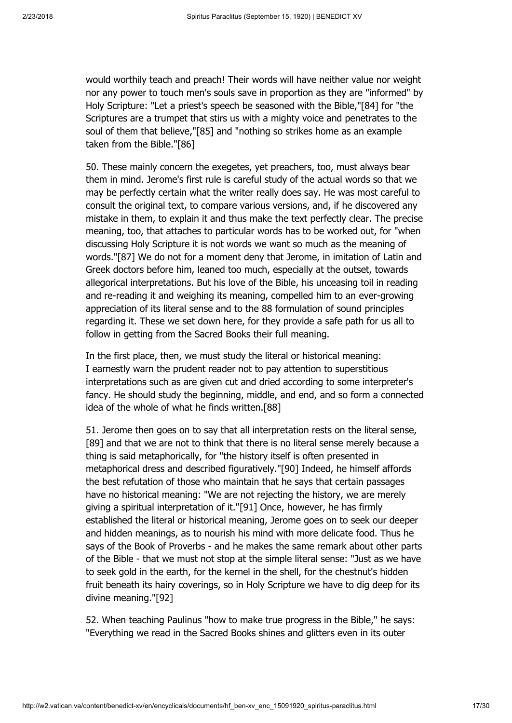would worthily teach and preach! Their words will have neither value nor weight nor any power to touch men's souls save in proportion as they are "informed" by Holy Scripture: "Let a priest's speech be seasoned with the Bible,"[84] for "the Scriptures are a trumpet that stirs us with a mighty voice and penetrates to the soul of them that believe,"[85] and "nothing so strikes home as an example taken from the Bible."[86]

50. These mainly concern the exegetes, yet preachers, too, must always bear them in mind. Jerome's first rule is careful study of the actual words so that we may be perfectly certain what the writer really does say. He was most careful to consult the original text, to compare various versions, and, if he discovered any mistake in them, to explain it and thus make the text perfectly clear. The precise meaning, too, that attaches to particular words has to be worked out, for "when discussing Holy Scripture it is not words we want so much as the meaning of words."[87] We do not for a moment deny that Jerome, in imitation of Latin and Greek doctors before him, leaned too much, especially at the outset, towards allegorical interpretations. But his love of the Bible, his unceasing toil in reading and re-reading it and weighing its meaning, compelled him to an ever-growing appreciation of its literal sense and to the 88 formulation of sound principles regarding it. These we set down here, for they provide a safe path for us all to follow in getting from the Sacred Books their full meaning.

In the first place, then, we must study the literal or historical meaning: I earnestly warn the prudent reader not to pay attention to superstitious interpretations such as are given cut and dried according to some interpreter's fancy. He should study the beginning, middle, and end, and so form a connected idea of the whole of what he finds written.[88]

51. Jerome then goes on to say that all interpretation rests on the literal sense, [89] and that we are not to think that there is no literal sense merely because a thing is said metaphorically, for "the history itself is often presented in metaphorical dress and described figuratively."[90] Indeed, he himself affords the best refutation of those who maintain that he says that certain passages have no historical meaning: "We are not rejecting the history, we are merely giving a spiritual interpretation of it.''[91] Once, however, he has firmly established the literal or historical meaning, Jerome goes on to seek our deeper and hidden meanings, as to nourish his mind with more delicate food. Thus he says of the Book of Proverbs - and he makes the same remark about other parts of the Bible - that we must not stop at the simple literal sense: "Just as we have to seek gold in the earth, for the kernel in the shell, for the chestnut's hidden fruit beneath its hairy coverings, so in Holy Scripture we have to dig deep for its divine meaning."[92]

52. When teaching Paulinus "how to make true progress in the Bible," he says: "Everything we read in the Sacred Books shines and glitters even in its outer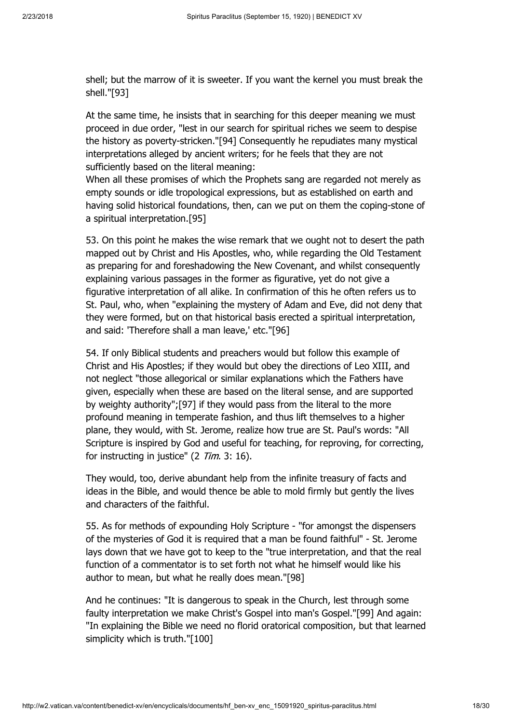shell; but the marrow of it is sweeter. If you want the kernel you must break the shell."[93]

At the same time, he insists that in searching for this deeper meaning we must proceed in due order, "lest in our search for spiritual riches we seem to despise the history as poverty-stricken."[94] Consequently he repudiates many mystical interpretations alleged by ancient writers; for he feels that they are not sufficiently based on the literal meaning:

When all these promises of which the Prophets sang are regarded not merely as empty sounds or idle tropological expressions, but as established on earth and having solid historical foundations, then, can we put on them the coping-stone of a spiritual interpretation.[95]

53. On this point he makes the wise remark that we ought not to desert the path mapped out by Christ and His Apostles, who, while regarding the Old Testament as preparing for and foreshadowing the New Covenant, and whilst consequently explaining various passages in the former as figurative, yet do not give a figurative interpretation of all alike. In confirmation of this he often refers us to St. Paul, who, when "explaining the mystery of Adam and Eve, did not deny that they were formed, but on that historical basis erected a spiritual interpretation, and said: 'Therefore shall a man leave,' etc."[96]

54. If only Biblical students and preachers would but follow this example of Christ and His Apostles; if they would but obey the directions of Leo XIII, and not neglect "those allegorical or similar explanations which the Fathers have given, especially when these are based on the literal sense, and are supported by weighty authority";[97] if they would pass from the literal to the more profound meaning in temperate fashion, and thus lift themselves to a higher plane, they would, with St. Jerome, realize how true are St. Paul's words: "All Scripture is inspired by God and useful for teaching, for reproving, for correcting, for instructing in justice" (2 Tim. 3: 16).

They would, too, derive abundant help from the infinite treasury of facts and ideas in the Bible, and would thence be able to mold firmly but gently the lives and characters of the faithful.

55. As for methods of expounding Holy Scripture - "for amongst the dispensers of the mysteries of God it is required that a man be found faithful" - St. Jerome lays down that we have got to keep to the "true interpretation, and that the real function of a commentator is to set forth not what he himself would like his author to mean, but what he really does mean."[98]

And he continues: "It is dangerous to speak in the Church, lest through some faulty interpretation we make Christ's Gospel into man's Gospel."[99] And again: "In explaining the Bible we need no florid oratorical composition, but that learned simplicity which is truth."[100]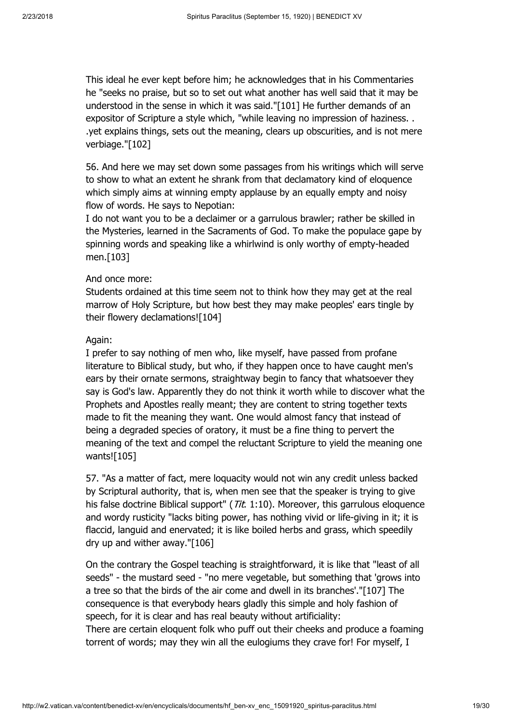This ideal he ever kept before him; he acknowledges that in his Commentaries he "seeks no praise, but so to set out what another has well said that it may be understood in the sense in which it was said."[101] He further demands of an expositor of Scripture a style which, "while leaving no impression of haziness. . .yet explains things, sets out the meaning, clears up obscurities, and is not mere verbiage."[102]

56. And here we may set down some passages from his writings which will serve to show to what an extent he shrank from that declamatory kind of eloquence which simply aims at winning empty applause by an equally empty and noisy flow of words. He says to Nepotian:

I do not want you to be a declaimer or a garrulous brawler; rather be skilled in the Mysteries, learned in the Sacraments of God. To make the populace gape by spinning words and speaking like a whirlwind is only worthy of empty-headed men.[103]

## And once more:

Students ordained at this time seem not to think how they may get at the real marrow of Holy Scripture, but how best they may make peoples' ears tingle by their flowery declamations![104]

## Again:

I prefer to say nothing of men who, like myself, have passed from profane literature to Biblical study, but who, if they happen once to have caught men's ears by their ornate sermons, straightway begin to fancy that whatsoever they say is God's law. Apparently they do not think it worth while to discover what the Prophets and Apostles really meant; they are content to string together texts made to fit the meaning they want. One would almost fancy that instead of being a degraded species of oratory, it must be a fine thing to pervert the meaning of the text and compel the reluctant Scripture to yield the meaning one wants![105]

57. "As a matter of fact, mere loquacity would not win any credit unless backed by Scriptural authority, that is, when men see that the speaker is trying to give his false doctrine Biblical support" ( $T$ it. 1:10). Moreover, this garrulous eloquence and wordy rusticity "lacks biting power, has nothing vivid or life-giving in it; it is flaccid, languid and enervated; it is like boiled herbs and grass, which speedily dry up and wither away."[106]

On the contrary the Gospel teaching is straightforward, it is like that "least of all seeds" - the mustard seed - "no mere vegetable, but something that 'grows into a tree so that the birds of the air come and dwell in its branches'."[107] The consequence is that everybody hears gladly this simple and holy fashion of speech, for it is clear and has real beauty without artificiality: There are certain eloquent folk who puff out their cheeks and produce a foaming torrent of words; may they win all the eulogiums they crave for! For myself, I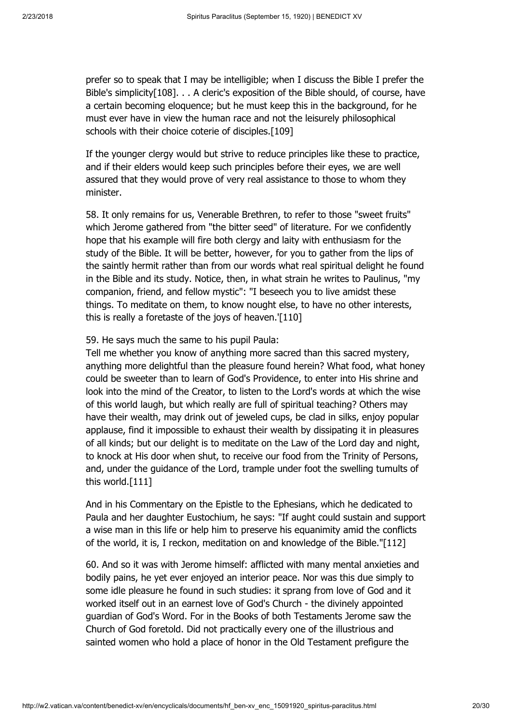prefer so to speak that I may be intelligible; when I discuss the Bible I prefer the Bible's simplicity[108]. . . A cleric's exposition of the Bible should, of course, have a certain becoming eloquence; but he must keep this in the background, for he must ever have in view the human race and not the leisurely philosophical schools with their choice coterie of disciples.[109]

If the younger clergy would but strive to reduce principles like these to practice, and if their elders would keep such principles before their eyes, we are well assured that they would prove of very real assistance to those to whom they minister.

58. It only remains for us, Venerable Brethren, to refer to those "sweet fruits" which Jerome gathered from "the bitter seed" of literature. For we confidently hope that his example will fire both clergy and laity with enthusiasm for the study of the Bible. It will be better, however, for you to gather from the lips of the saintly hermit rather than from our words what real spiritual delight he found in the Bible and its study. Notice, then, in what strain he writes to Paulinus, "my companion, friend, and fellow mystic": "I beseech you to live amidst these things. To meditate on them, to know nought else, to have no other interests, this is really a foretaste of the joys of heaven.'[110]

59. He says much the same to his pupil Paula:

Tell me whether you know of anything more sacred than this sacred mystery, anything more delightful than the pleasure found herein? What food, what honey could be sweeter than to learn of God's Providence, to enter into His shrine and look into the mind of the Creator, to listen to the Lord's words at which the wise of this world laugh, but which really are full of spiritual teaching? Others may have their wealth, may drink out of jeweled cups, be clad in silks, enjoy popular applause, find it impossible to exhaust their wealth by dissipating it in pleasures of all kinds; but our delight is to meditate on the Law of the Lord day and night, to knock at His door when shut, to receive our food from the Trinity of Persons, and, under the guidance of the Lord, trample under foot the swelling tumults of this world.[111]

And in his Commentary on the Epistle to the Ephesians, which he dedicated to Paula and her daughter Eustochium, he says: "If aught could sustain and support a wise man in this life or help him to preserve his equanimity amid the conflicts of the world, it is, I reckon, meditation on and knowledge of the Bible."[112]

60. And so it was with Jerome himself: afflicted with many mental anxieties and bodily pains, he yet ever enjoyed an interior peace. Nor was this due simply to some idle pleasure he found in such studies: it sprang from love of God and it worked itself out in an earnest love of God's Church - the divinely appointed guardian of God's Word. For in the Books of both Testaments Jerome saw the Church of God foretold. Did not practically every one of the illustrious and sainted women who hold a place of honor in the Old Testament prefigure the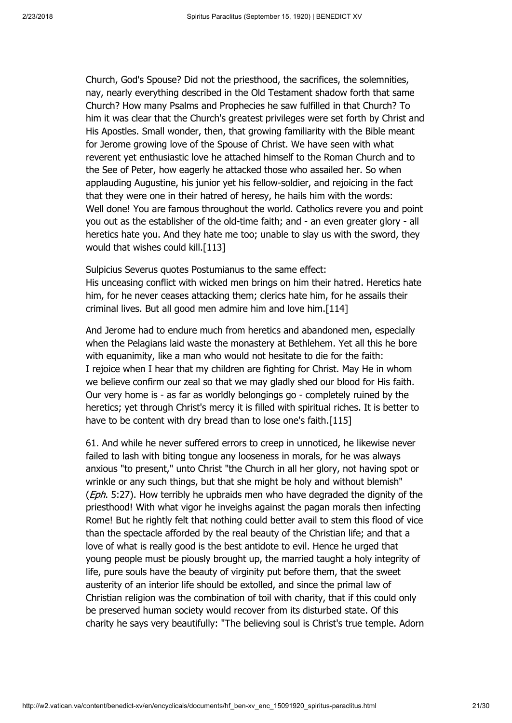Church, God's Spouse? Did not the priesthood, the sacrifices, the solemnities, nay, nearly everything described in the Old Testament shadow forth that same Church? How many Psalms and Prophecies he saw fulfilled in that Church? To him it was clear that the Church's greatest privileges were set forth by Christ and His Apostles. Small wonder, then, that growing familiarity with the Bible meant for Jerome growing love of the Spouse of Christ. We have seen with what reverent yet enthusiastic love he attached himself to the Roman Church and to the See of Peter, how eagerly he attacked those who assailed her. So when applauding Augustine, his junior yet his fellow-soldier, and rejoicing in the fact that they were one in their hatred of heresy, he hails him with the words: Well done! You are famous throughout the world. Catholics revere you and point you out as the establisher of the old-time faith; and - an even greater glory - all heretics hate you. And they hate me too; unable to slay us with the sword, they would that wishes could kill.[113]

Sulpicius Severus quotes Postumianus to the same effect: His unceasing conflict with wicked men brings on him their hatred. Heretics hate him, for he never ceases attacking them; clerics hate him, for he assails their criminal lives. But all good men admire him and love him.[114]

And Jerome had to endure much from heretics and abandoned men, especially when the Pelagians laid waste the monastery at Bethlehem. Yet all this he bore with equanimity, like a man who would not hesitate to die for the faith: I rejoice when I hear that my children are fighting for Christ. May He in whom we believe confirm our zeal so that we may gladly shed our blood for His faith. Our very home is - as far as worldly belongings go - completely ruined by the heretics; yet through Christ's mercy it is filled with spiritual riches. It is better to have to be content with dry bread than to lose one's faith.[115]

61. And while he never suffered errors to creep in unnoticed, he likewise never failed to lash with biting tongue any looseness in morals, for he was always anxious "to present," unto Christ "the Church in all her glory, not having spot or wrinkle or any such things, but that she might be holy and without blemish" (*Eph.* 5:27). How terribly he upbraids men who have degraded the dignity of the priesthood! With what vigor he inveighs against the pagan morals then infecting Rome! But he rightly felt that nothing could better avail to stem this flood of vice than the spectacle afforded by the real beauty of the Christian life; and that a love of what is really good is the best antidote to evil. Hence he urged that young people must be piously brought up, the married taught a holy integrity of life, pure souls have the beauty of virginity put before them, that the sweet austerity of an interior life should be extolled, and since the primal law of Christian religion was the combination of toil with charity, that if this could only be preserved human society would recover from its disturbed state. Of this charity he says very beautifully: "The believing soul is Christ's true temple. Adorn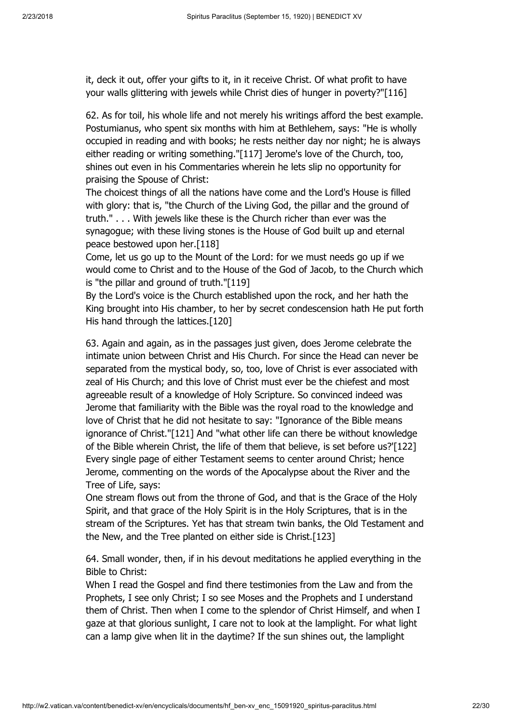it, deck it out, offer your gifts to it, in it receive Christ. Of what profit to have your walls glittering with jewels while Christ dies of hunger in poverty?"[116]

62. As for toil, his whole life and not merely his writings afford the best example. Postumianus, who spent six months with him at Bethlehem, says: "He is wholly occupied in reading and with books; he rests neither day nor night; he is always either reading or writing something."[117] Jerome's love of the Church, too, shines out even in his Commentaries wherein he lets slip no opportunity for praising the Spouse of Christ:

The choicest things of all the nations have come and the Lord's House is filled with glory: that is, "the Church of the Living God, the pillar and the ground of truth." . . . With jewels like these is the Church richer than ever was the synagogue; with these living stones is the House of God built up and eternal peace bestowed upon her.[118]

Come, let us go up to the Mount of the Lord: for we must needs go up if we would come to Christ and to the House of the God of Jacob, to the Church which is "the pillar and ground of truth."[119]

By the Lord's voice is the Church established upon the rock, and her hath the King brought into His chamber, to her by secret condescension hath He put forth His hand through the lattices.[120]

63. Again and again, as in the passages just given, does Jerome celebrate the intimate union between Christ and His Church. For since the Head can never be separated from the mystical body, so, too, love of Christ is ever associated with zeal of His Church; and this love of Christ must ever be the chiefest and most agreeable result of a knowledge of Holy Scripture. So convinced indeed was Jerome that familiarity with the Bible was the royal road to the knowledge and love of Christ that he did not hesitate to say: "Ignorance of the Bible means ignorance of Christ."[121] And "what other life can there be without knowledge of the Bible wherein Christ, the life of them that believe, is set before us?'[122] Every single page of either Testament seems to center around Christ; hence Jerome, commenting on the words of the Apocalypse about the River and the Tree of Life, says:

One stream flows out from the throne of God, and that is the Grace of the Holy Spirit, and that grace of the Holy Spirit is in the Holy Scriptures, that is in the stream of the Scriptures. Yet has that stream twin banks, the Old Testament and the New, and the Tree planted on either side is Christ.[123]

64. Small wonder, then, if in his devout meditations he applied everything in the Bible to Christ:

When I read the Gospel and find there testimonies from the Law and from the Prophets, I see only Christ; I so see Moses and the Prophets and I understand them of Christ. Then when I come to the splendor of Christ Himself, and when I gaze at that glorious sunlight, I care not to look at the lamplight. For what light can a lamp give when lit in the daytime? If the sun shines out, the lamplight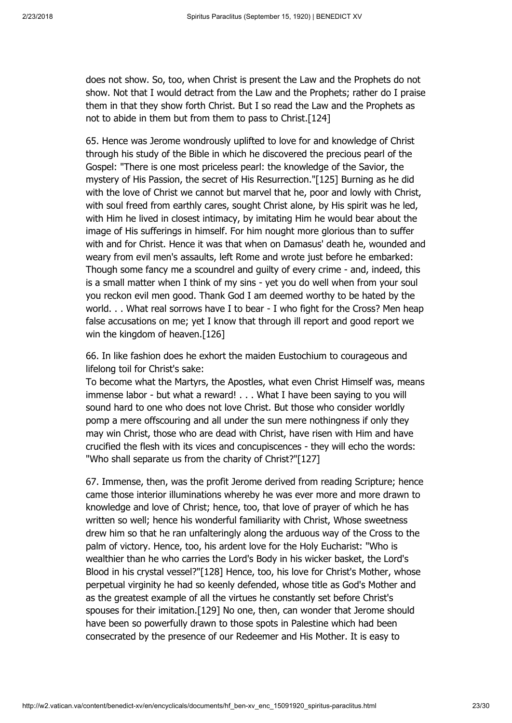does not show. So, too, when Christ is present the Law and the Prophets do not show. Not that I would detract from the Law and the Prophets; rather do I praise them in that they show forth Christ. But I so read the Law and the Prophets as not to abide in them but from them to pass to Christ.[124]

65. Hence was Jerome wondrously uplifted to love for and knowledge of Christ through his study of the Bible in which he discovered the precious pearl of the Gospel: "There is one most priceless pearl: the knowledge of the Savior, the mystery of His Passion, the secret of His Resurrection."[125] Burning as he did with the love of Christ we cannot but marvel that he, poor and lowly with Christ, with soul freed from earthly cares, sought Christ alone, by His spirit was he led, with Him he lived in closest intimacy, by imitating Him he would bear about the image of His sufferings in himself. For him nought more glorious than to suffer with and for Christ. Hence it was that when on Damasus' death he, wounded and weary from evil men's assaults, left Rome and wrote just before he embarked: Though some fancy me a scoundrel and guilty of every crime - and, indeed, this is a small matter when I think of my sins - yet you do well when from your soul you reckon evil men good. Thank God I am deemed worthy to be hated by the world. . . What real sorrows have I to bear - I who fight for the Cross? Men heap false accusations on me; yet I know that through ill report and good report we win the kingdom of heaven.<sup>[126]</sup>

66. In like fashion does he exhort the maiden Eustochium to courageous and lifelong toil for Christ's sake:

To become what the Martyrs, the Apostles, what even Christ Himself was, means immense labor - but what a reward! . . . What I have been saying to you will sound hard to one who does not love Christ. But those who consider worldly pomp a mere offscouring and all under the sun mere nothingness if only they may win Christ, those who are dead with Christ, have risen with Him and have crucified the flesh with its vices and concupiscences - they will echo the words: "Who shall separate us from the charity of Christ?"[127]

67. Immense, then, was the profit Jerome derived from reading Scripture; hence came those interior illuminations whereby he was ever more and more drawn to knowledge and love of Christ; hence, too, that love of prayer of which he has written so well; hence his wonderful familiarity with Christ, Whose sweetness drew him so that he ran unfalteringly along the arduous way of the Cross to the palm of victory. Hence, too, his ardent love for the Holy Eucharist: "Who is wealthier than he who carries the Lord's Body in his wicker basket, the Lord's Blood in his crystal vessel?"[128] Hence, too, his love for Christ's Mother, whose perpetual virginity he had so keenly defended, whose title as God's Mother and as the greatest example of all the virtues he constantly set before Christ's spouses for their imitation.[129] No one, then, can wonder that Jerome should have been so powerfully drawn to those spots in Palestine which had been consecrated by the presence of our Redeemer and His Mother. It is easy to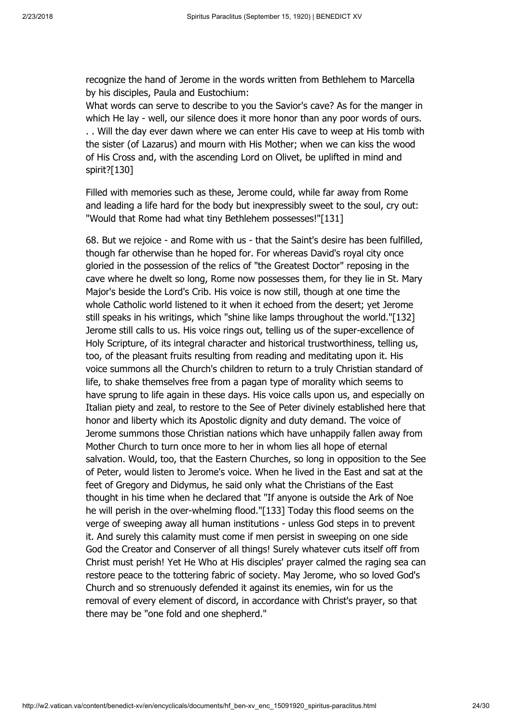recognize the hand of Jerome in the words written from Bethlehem to Marcella by his disciples, Paula and Eustochium:

What words can serve to describe to you the Savior's cave? As for the manger in which He lay - well, our silence does it more honor than any poor words of ours. . . Will the day ever dawn where we can enter His cave to weep at His tomb with the sister (of Lazarus) and mourn with His Mother; when we can kiss the wood of His Cross and, with the ascending Lord on Olivet, be uplifted in mind and spirit?[130]

Filled with memories such as these, Jerome could, while far away from Rome and leading a life hard for the body but inexpressibly sweet to the soul, cry out: "Would that Rome had what tiny Bethlehem possesses!"[131]

68. But we rejoice - and Rome with us - that the Saint's desire has been fulfilled, though far otherwise than he hoped for. For whereas David's royal city once gloried in the possession of the relics of "the Greatest Doctor" reposing in the cave where he dwelt so long, Rome now possesses them, for they lie in St. Mary Major's beside the Lord's Crib. His voice is now still, though at one time the whole Catholic world listened to it when it echoed from the desert; yet Jerome still speaks in his writings, which "shine like lamps throughout the world."[132] Jerome still calls to us. His voice rings out, telling us of the super-excellence of Holy Scripture, of its integral character and historical trustworthiness, telling us, too, of the pleasant fruits resulting from reading and meditating upon it. His voice summons all the Church's children to return to a truly Christian standard of life, to shake themselves free from a pagan type of morality which seems to have sprung to life again in these days. His voice calls upon us, and especially on Italian piety and zeal, to restore to the See of Peter divinely established here that honor and liberty which its Apostolic dignity and duty demand. The voice of Jerome summons those Christian nations which have unhappily fallen away from Mother Church to turn once more to her in whom lies all hope of eternal salvation. Would, too, that the Eastern Churches, so long in opposition to the See of Peter, would listen to Jerome's voice. When he lived in the East and sat at the feet of Gregory and Didymus, he said only what the Christians of the East thought in his time when he declared that "If anyone is outside the Ark of Noe he will perish in the over-whelming flood."[133] Today this flood seems on the verge of sweeping away all human institutions - unless God steps in to prevent it. And surely this calamity must come if men persist in sweeping on one side God the Creator and Conserver of all things! Surely whatever cuts itself off from Christ must perish! Yet He Who at His disciples' prayer calmed the raging sea can restore peace to the tottering fabric of society. May Jerome, who so loved God's Church and so strenuously defended it against its enemies, win for us the removal of every element of discord, in accordance with Christ's prayer, so that there may be "one fold and one shepherd."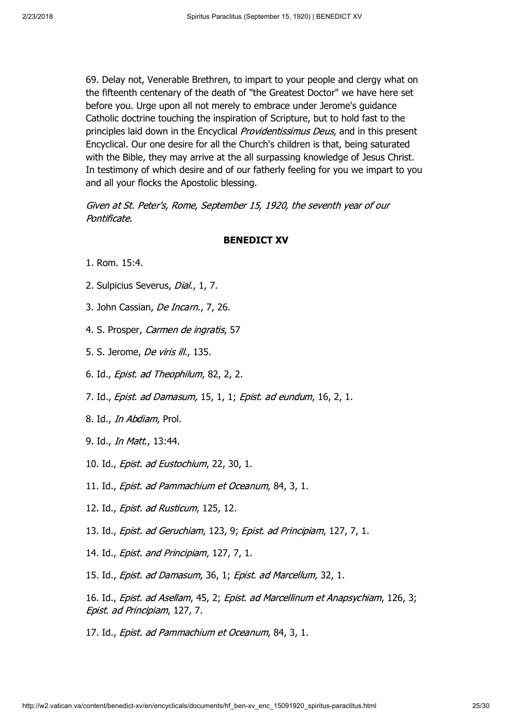69. Delay not, Venerable Brethren, to impart to your people and clergy what on the fifteenth centenary of the death of "the Greatest Doctor" we have here set before you. Urge upon all not merely to embrace under Jerome's guidance Catholic doctrine touching the inspiration of Scripture, but to hold fast to the principles laid down in the Encyclical *Providentissimus Deus*, and in this present Encyclical. Our one desire for all the Church's children is that, being saturated with the Bible, they may arrive at the all surpassing knowledge of Jesus Christ. In testimony of which desire and of our fatherly feeling for you we impart to you and all your flocks the Apostolic blessing.

Given at St. Peter's, Rome, September 15, 1920, the seventh year of our Pontificate.

## BENEDICT XV

- 1. Rom. 15:4.
- 2. Sulpicius Severus, *Dial.*, 1, 7.
- 3. John Cassian, De Incarn., 7, 26.
- 4. S. Prosper, Carmen de ingratis, 57
- 5. S. Jerome, De viris ill., 135.
- 6. Id., Epist. ad Theophilum, 82, 2, 2.
- 7. Id., Epist. ad Damasum, 15, 1, 1; Epist. ad eundum, 16, 2, 1.
- 8. Id., In Abdiam, Prol.
- 9. Id., *In Matt.*, 13:44.
- 10. Id., Epist. ad Eustochium, 22, 30, 1.
- 11. Id., Epist. ad Pammachium et Oceanum, 84, 3, 1.
- 12. Id., Epist. ad Rusticum, 125, 12.
- 13. Id., Epist. ad Geruchiam, 123, 9; Epist. ad Principiam, 127, 7, 1.
- 14. Id., *Epist. and Principiam*, 127, 7, 1.
- 15. Id., Epist. ad Damasum, 36, 1; Epist. ad Marcellum, 32, 1.
- 16. Id., Epist. ad Asellam, 45, 2; Epist. ad Marcellinum et Anapsychiam, 126, 3; Epist. ad Principiam, 127, 7.
- 17. Id., Epist. ad Pammachium et Oceanum, 84, 3, 1.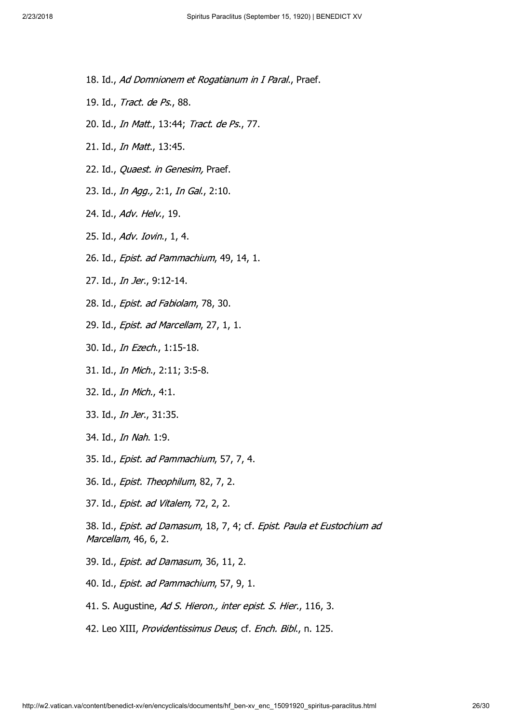- 18. Id., Ad Domnionem et Rogatianum in I Paral., Praef.
- 19. Id., Tract. de Ps., 88.
- 20. Id., *In Matt.*, 13:44; *Tract. de Ps.*, 77.
- 21. Id., *In Matt.*, 13:45.
- 22. Id., Quaest. in Genesim, Praef.
- 23. Id., *In Agg.*, 2:1, *In Gal.*, 2:10.
- 24. Id., Adv. Helv., 19.
- 25. Id., Adv. Iovin., 1, 4.
- 26. Id., Epist. ad Pammachium, 49, 14, 1.
- 27. Id., *In Jer.*, 9:12-14.
- 28. Id., Epist. ad Fabiolam, 78, 30.
- 29. Id., Epist. ad Marcellam, 27, 1, 1.
- 30. Id., In Ezech., 1:15-18.
- 31. Id., In Mich., 2:11; 3:5-8.
- 32. Id., In Mich., 4:1.
- 33. Id., *In Jer.*, 31:35.
- 34. Id., In Nah. 1:9.
- 35. Id., Epist. ad Pammachium, 57, 7, 4.
- 36. Id., Epist. Theophilum, 82, 7, 2.
- 37. Id., Epist. ad Vitalem, 72, 2, 2.
- 38. Id., Epist. ad Damasum, 18, 7, 4; cf. Epist. Paula et Eustochium ad Marcellam, 46, 6, 2.
- 39. Id., Epist. ad Damasum, 36, 11, 2.
- 40. Id., Epist. ad Pammachium, 57, 9, 1.
- 41. S. Augustine, Ad S. Hieron., inter epist. S. Hier., 116, 3.
- 42. Leo XIII, Providentissimus Deus, cf. Ench. Bibl., n. 125.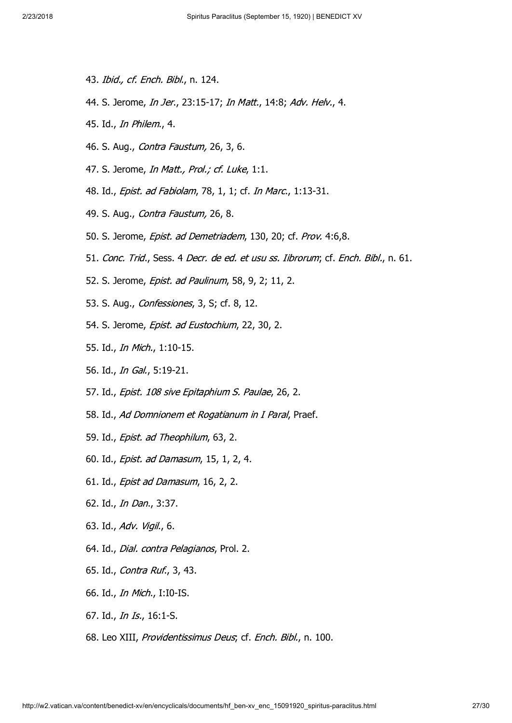- 43. Ibid., cf. Ench. Bibl., n. 124.
- 44. S. Jerome, *In Jer.*, 23:15-17; *In Matt.*, 14:8; *Adv. Helv.*, 4.
- 45. Id., In Philem., 4.
- 46. S. Aug., Contra Faustum, 26, 3, 6.
- 47. S. Jerome, *In Matt., Prol.; cf. Luke*, 1:1.
- 48. Id., Epist. ad Fabiolam, 78, 1, 1; cf. In Marc., 1:13-31.
- 49. S. Aug., Contra Faustum, 26, 8.
- 50. S. Jerome, Epist. ad Demetriadem, 130, 20; cf. Prov. 4:6,8.
- 51. Conc. Trid., Sess. 4 Decr. de ed. et usu ss. Iibrorum; cf. Ench. Bibl., n. 61.
- 52. S. Jerome, *Epist. ad Paulinum*, 58, 9, 2; 11, 2.
- 53. S. Aug., *Confessiones*, 3, S; cf. 8, 12.
- 54. S. Jerome, Epist. ad Eustochium, 22, 30, 2.
- 55. Id., In Mich., 1:10-15.
- 56. Id., *In Gal.*, 5:19-21.
- 57. Id., Epist. 108 sive Epitaphium S. Paulae, 26, 2.
- 58. Id., Ad Domnionem et Rogatianum in I Paral, Praef.
- 59. Id., Epist. ad Theophilum, 63, 2.
- 60. Id., Epist. ad Damasum, 15, 1, 2, 4.
- 61. Id., Epist ad Damasum, 16, 2, 2.
- 62. Id., In Dan., 3:37.
- 63. Id., Adv. Vigil., 6.
- 64. Id., Dial. contra Pelagianos, Prol. 2.
- 65. Id., Contra Ruf., 3, 43.
- 66. Id., In Mich., I:I0-IS.
- 67. Id., In Is., 16:1-S.
- 68. Leo XIII, Providentissimus Deus; cf. Ench. Bibl., n. 100.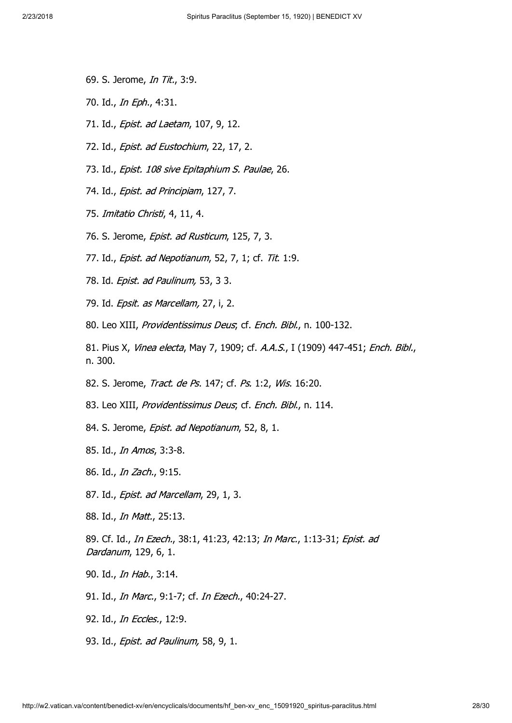- 69. S. Jerome, In Tit., 3:9.
- 70. Id., *In Eph.*, 4:31.
- 71. Id., Epist. ad Laetam, 107, 9, 12.
- 72. Id., Epist. ad Eustochium, 22, 17, 2.
- 73. Id., Epist. 108 sive Epitaphium S. Paulae, 26.
- 74. Id., Epist. ad Principiam, 127, 7.
- 75. Imitatio Christi, 4, 11, 4.
- 76. S. Jerome, Epist. ad Rusticum, 125, 7, 3.
- 77. Id., Epist. ad Nepotianum, 52, 7, 1; cf. Tit. 1:9.
- 78. Id. Epist. ad Paulinum, 53, 3 3.
- 79. Id. Epsit. as Marcellam, 27, i, 2.
- 80. Leo XIII, Providentissimus Deus, cf. Ench. Bibl., n. 100-132.
- 81. Pius X, Vinea electa, May 7, 1909; cf. A.A.S., I (1909) 447-451; Ench. Bibl., n. 300.
- 82. S. Jerome, *Tract. de Ps*. 147; cf. *Ps.* 1:2, *Wis.* 16:20.
- 83. Leo XIII, Providentissimus Deus, cf. Ench. Bibl., n. 114.
- 84. S. Jerome, Epist. ad Nepotianum, 52, 8, 1.
- 85. Id., In Amos, 3:3-8.
- 86. Id., *In Zach.*, 9:15.
- 87. Id., Epist. ad Marcellam, 29, 1, 3.
- 88. Id., *In Matt.*, 25:13.
- 89. Cf. Id., In Ezech., 38:1, 41:23, 42:13; In Marc., 1:13-31; Epist. ad Dardanum, 129, 6, 1.
- 90. Id., *In Hab.*, 3:14.
- 91. Id., *In Marc.*, 9:1-7; cf. *In Ezech.*, 40:24-27.
- 92. Id., *In Eccles.*, 12:9.
- 93. Id., Epist. ad Paulinum, 58, 9, 1.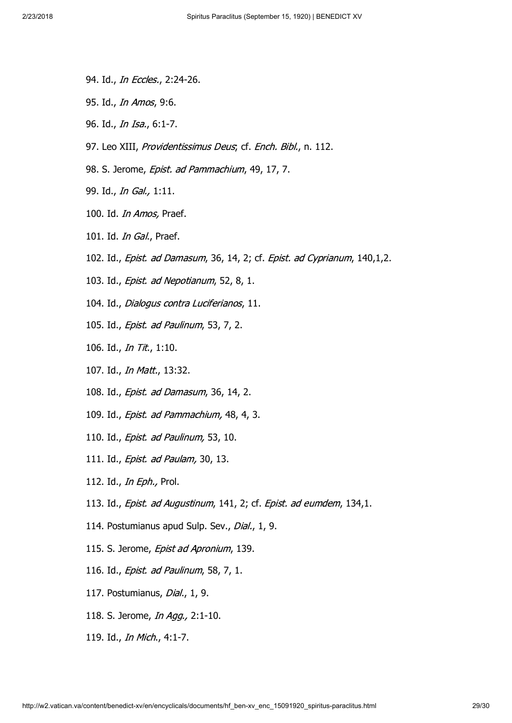- 94. Id., *In Eccles.*, 2:24-26.
- 95. Id., *In Amos*, 9:6.
- 96. Id., *In Isa.*, 6:1-7.
- 97. Leo XIII, Providentissimus Deus, cf. Ench. Bibl., n. 112.
- 98. S. Jerome, Epist. ad Pammachium, 49, 17, 7.
- 99. Id., *In Gal.*, 1:11.
- 100. Id. *In Amos*, Praef.
- 101. Id. *In Gal.*, Praef.
- 102. Id., Epist. ad Damasum, 36, 14, 2; cf. Epist. ad Cyprianum, 140,1,2.
- 103. Id., Epist. ad Nepotianum, 52, 8, 1.
- 104. Id., Dialogus contra Luciferianos, 11.
- 105. Id., Epist. ad Paulinum, 53, 7, 2.
- 106. Id., *In Tit.*, 1:10.
- 107. Id., *In Matt.*, 13:32.
- 108. Id., Epist. ad Damasum, 36, 14, 2.
- 109. Id., Epist. ad Pammachium, 48, 4, 3.
- 110. Id., Epist. ad Paulinum, 53, 10.
- 111. Id., Epist. ad Paulam, 30, 13.
- 112. Id., *In Eph.*, Prol.
- 113. Id., Epist. ad Augustinum, 141, 2; cf. Epist. ad eumdem, 134,1.
- 114. Postumianus apud Sulp. Sev., Dial., 1, 9.
- 115. S. Jerome, Epist ad Apronium, 139.
- 116. Id., Epist. ad Paulinum, 58, 7, 1.
- 117. Postumianus, Dial., 1, 9.
- 118. S. Jerome, *In Agg.*, 2:1-10.
- 119. Id., In Mich., 4:1-7.